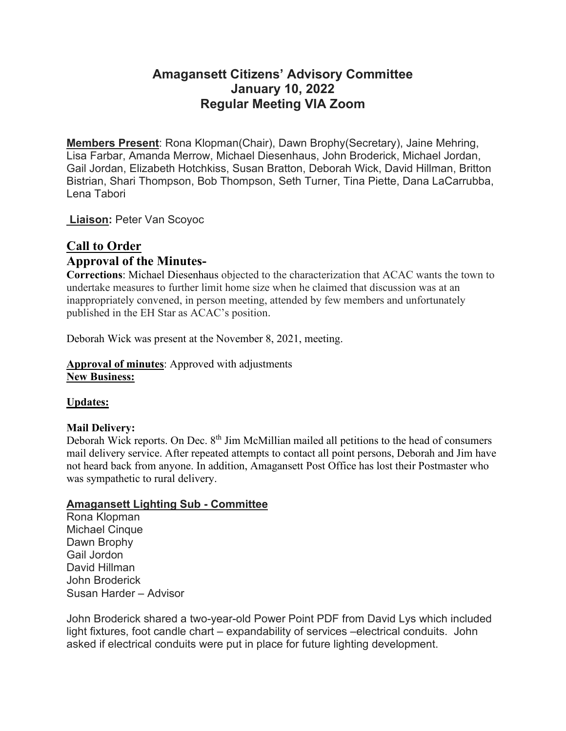# **Amagansett Citizens' Advisory Committee January 10, 2022 Regular Meeting VIA Zoom**

**Members Present**: Rona Klopman(Chair), Dawn Brophy(Secretary), Jaine Mehring, Lisa Farbar, Amanda Merrow, Michael Diesenhaus, John Broderick, Michael Jordan, Gail Jordan, Elizabeth Hotchkiss, Susan Bratton, Deborah Wick, David Hillman, Britton Bistrian, Shari Thompson, Bob Thompson, Seth Turner, Tina Piette, Dana LaCarrubba, Lena Tabori

**Liaison:** Peter Van Scoyoc

# **Call to Order Approval of the Minutes-**

**Corrections**: Michael Diesenhaus objected to the characterization that ACAC wants the town to undertake measures to further limit home size when he claimed that discussion was at an inappropriately convened, in person meeting, attended by few members and unfortunately published in the EH Star as ACAC's position.

Deborah Wick was present at the November 8, 2021, meeting.

**Approval of minutes**: Approved with adjustments **New Business:**

**Updates:**

# **Mail Delivery:**

Deborah Wick reports. On Dec. 8<sup>th</sup> Jim McMillian mailed all petitions to the head of consumers mail delivery service. After repeated attempts to contact all point persons, Deborah and Jim have not heard back from anyone. In addition, Amagansett Post Office has lost their Postmaster who was sympathetic to rural delivery.

# **Amagansett Lighting Sub - Committee**

Rona Klopman Michael Cinque Dawn Brophy Gail Jordon David Hillman John Broderick Susan Harder – Advisor

John Broderick shared a two-year-old Power Point PDF from David Lys which included light fixtures, foot candle chart – expandability of services –electrical conduits. John asked if electrical conduits were put in place for future lighting development.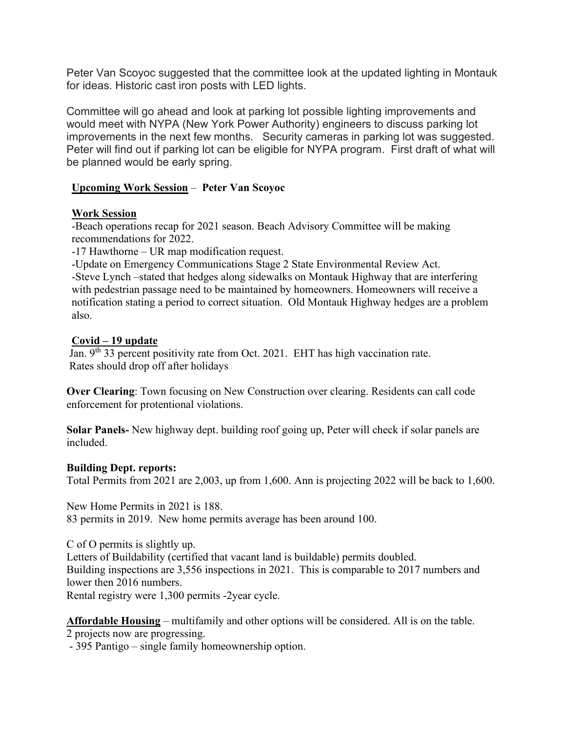Peter Van Scoyoc suggested that the committee look at the updated lighting in Montauk for ideas. Historic cast iron posts with LED lights.

Committee will go ahead and look at parking lot possible lighting improvements and would meet with NYPA (New York Power Authority) engineers to discuss parking lot improvements in the next few months. Security cameras in parking lot was suggested. Peter will find out if parking lot can be eligible for NYPA program. First draft of what will be planned would be early spring.

# **Upcoming Work Session** – **Peter Van Scoyoc**

## **Work Session**

-Beach operations recap for 2021 season. Beach Advisory Committee will be making recommendations for 2022.

-17 Hawthorne – UR map modification request.

-Update on Emergency Communications Stage 2 State Environmental Review Act. -Steve Lynch –stated that hedges along sidewalks on Montauk Highway that are interfering with pedestrian passage need to be maintained by homeowners. Homeowners will receive a notification stating a period to correct situation. Old Montauk Highway hedges are a problem also.

## **Covid – 19 update**

Jan. 9<sup>th</sup> 33 percent positivity rate from Oct. 2021. EHT has high vaccination rate. Rates should drop off after holidays

**Over Clearing**: Town focusing on New Construction over clearing. Residents can call code enforcement for protentional violations.

**Solar Panels-** New highway dept. building roof going up, Peter will check if solar panels are included.

#### **Building Dept. reports:**

Total Permits from 2021 are 2,003, up from 1,600. Ann is projecting 2022 will be back to 1,600.

New Home Permits in 2021 is 188. 83 permits in 2019. New home permits average has been around 100.

C of O permits is slightly up. Letters of Buildability (certified that vacant land is buildable) permits doubled. Building inspections are 3,556 inspections in 2021. This is comparable to 2017 numbers and lower then 2016 numbers. Rental registry were 1,300 permits -2year cycle.

**Affordable Housing** – multifamily and other options will be considered. All is on the table.

2 projects now are progressing.

- 395 Pantigo – single family homeownership option.